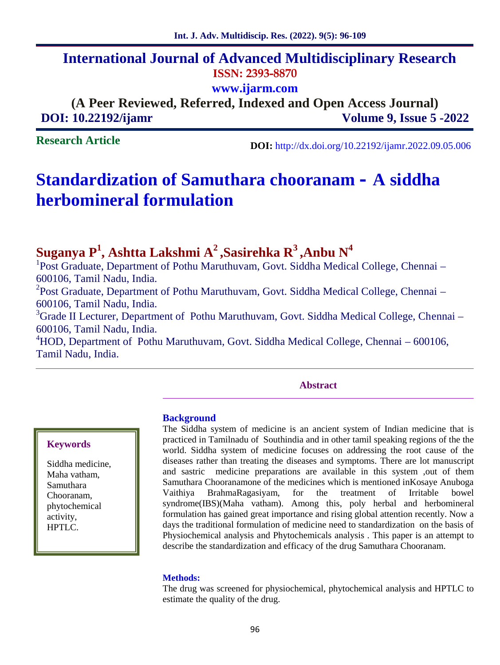# **International Journal of Advanced Multidisciplinary Research ISSN: 2393-8870**

**www.ijarm.com**

**(A Peer Reviewed, Referred, Indexed and Open Access Journal) DOI: 10.22192/ijamr Volume 9, Issue 5 -2022**

**Research Article**

**DOI:** http://dx.doi.org/10.22192/ijamr.2022.09.05.006

# **Standardization of Samuthara chooranam – A siddha herbomineral formulation**

# **Suganya P<sup>1</sup> , Ashtta Lakshmi A<sup>2</sup> ,Sasirehka R<sup>3</sup> ,Anbu N<sup>4</sup>**

<sup>1</sup>Post Graduate, Department of Pothu Maruthuvam, Govt. Siddha Medical College, Chennai – 600106, Tamil Nadu, India.

<sup>2</sup>Post Graduate, Department of Pothu Maruthuvam, Govt. Siddha Medical College, Chennai – 600106, Tamil Nadu, India.

<sup>3</sup>Grade II Lecturer, Department of Pothu Maruthuvam, Govt. Siddha Medical College, Chennai – 600106, Tamil Nadu, India.

<sup>4</sup>HOD, Department of Pothu Maruthuvam, Govt. Siddha Medical College, Chennai – 600106, Tamil Nadu, India.

#### **Abstract**

#### **Keywords**

Siddha medicine, Maha vatham, Samuthara Chooranam, phytochemical activity, HPTLC.

#### **Background**

The Siddha system of medicine is an ancient system of Indian medicine that is practiced in Tamilnadu of Southindia and in other tamil speaking regions of the the world. Siddha system of medicine focuses on addressing the root cause of the diseases rather than treating the diseases and symptoms. There are lot manuscript and sastric medicine preparations are available in this system ,out of them Samuthara Chooranamone of the medicines which is mentioned inKosaye Anuboga Vaithiya BrahmaRagasiyam, for the treatment of Irritable bowel syndrome(IBS)(Maha vatham). Among this, poly herbal and herbomineral formulation has gained great importance and rising global attention recently. Now a days the traditional formulation of medicine need to standardization on the basis of Physiochemical analysis and Phytochemicals analysis . This paper is an attempt to describe the standardization and efficacy of the drug Samuthara Chooranam.

#### **Methods:**

The drug was screened for physiochemical, phytochemical analysis and HPTLC to estimate the quality of the drug.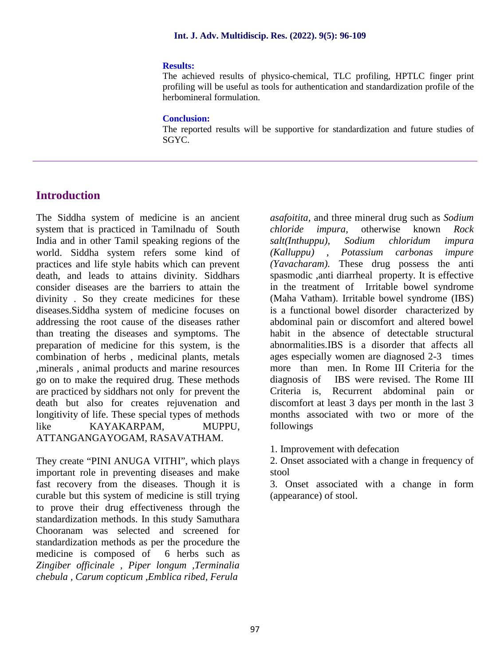#### **Results:**

The achieved results of physico-chemical, TLC profiling, HPTLC finger print profiling will be useful as tools for authentication and standardization profile of the herbomineral formulation.

#### **Conclusion:**

The reported results will be supportive for standardization and future studies of SGYC.

# **Introduction**

The Siddha system of medicine is an ancient system that is practiced in Tamilnadu of South chloride India and in other Tamil speaking regions of the world. Siddha system refers some kind of practices and life style habits which can prevent death, and leads to attains divinity. Siddhars consider diseases are the barriers to attain the divinity . So they create medicines for these diseases.Siddha system of medicine focuses on addressing the root cause of the diseases rather than treating the diseases and symptoms. The preparation of medicine for this system, is the combination of herbs , medicinal plants, metals ,minerals , animal products and marine resources go on to make the required drug. These methods are practiced by siddhars not only for prevent the Criteria is, death but also for creates rejuvenation and longitivity of life. These special types of methods like KAYAKARPAM, MUPPU, ATTANGANGAYOGAM, RASAVATHAM.

They create "PINI ANUGA VITHI", which plays important role in preventing diseases and make fast recovery from the diseases. Though it is curable but this system of medicine is still trying to prove their drug effectiveness through the standardization methods. In this study Samuthara Chooranam was selected and screened for standardization methods as per the procedure the medicine is composed of 6 herbs such as *Zingiber officinale , Piper longum ,Terminalia chebula , Carum copticum ,Emblica ribed, Ferula*

*asafoitita,* and three mineral drug such as *Sodium challa impura,* otherwise known *Rock salt(Inthuppu), Sodium chloridum impura (Kalluppu) , Potassium carbonas impure (Yavacharam).* These drug possess the anti spasmodic ,anti diarrheal property. It is effective in the treatment of Irritable bowel syndrome (Maha Vatham). Irritable bowel syndrome (IBS) is a functional bowel disorder characterized by abdominal pain or discomfort and altered bowel habit in the absence of detectable structural abnormalities.IBS is a disorder that affects all ages especially women are diagnosed 2-3 times more than men. In Rome III Criteria for the diagnosis of IBS were revised. The Rome III Recurrent abdominal pain or discomfort at least 3 days per month in the last 3 months associated with two or more of the followings

1. Improvement with defecation

2. Onset associated with a change in frequency of stool

3. Onset associated with a change in form (appearance) of stool.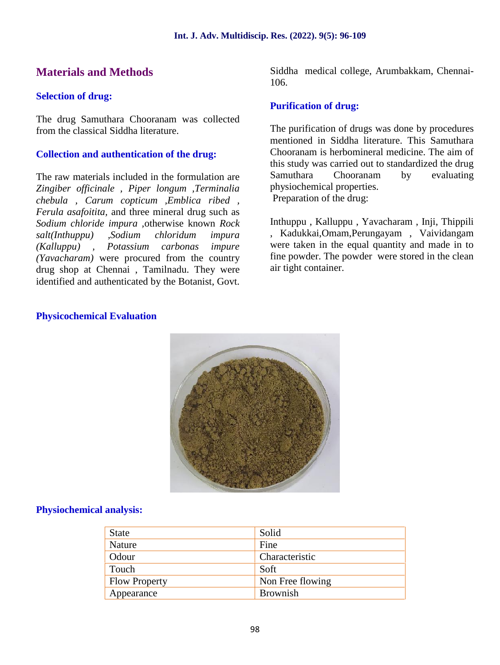# **Materials and Methods**

## **Selection of drug:**

The drug Samuthara Chooranam was collected from the classical Siddha literature.

# **Collection and authentication of the drug:**

The raw materials included in the formulation are Samuthara *Zingiber officinale , Piper longum ,Terminalia chebula , Carum copticum ,Emblica ribed , Ferula asafoitita,* and three mineral drug such as *Sodium chloride impura ,*otherwise known *Rock salt(Inthuppu) ,Sodium chloridum impura (Kalluppu) , Potassium carbonas impure (Yavacharam)* were procured from the country drug shop at Chennai , Tamilnadu. They were identified and authenticated by the Botanist, Govt.

Siddha medical college, Arumbakkam, Chennai- 106.

# **Purification of drug:**

The purification of drugs was done by procedures mentioned in Siddha literature. This Samuthara Chooranam is herbomineral medicine. The aim of this study was carried out to standardized the drug Chooranam by evaluating physiochemical properties. Preparation of the drug:

Inthuppu , Kalluppu , Yavacharam , Inji, Thippili , Kadukkai,Omam,Perungayam , Vaividangam were taken in the equal quantity and made in to fine powder. The powder were stored in the clean air tight container.

## **Physicochemical Evaluation**



## **Physiochemical analysis:**

| <b>State</b>         | Solid            |
|----------------------|------------------|
| Nature               | Fine             |
| Odour                | Characteristic   |
| Touch                | Soft             |
| <b>Flow Property</b> | Non Free flowing |
| Appearance           | <b>Brownish</b>  |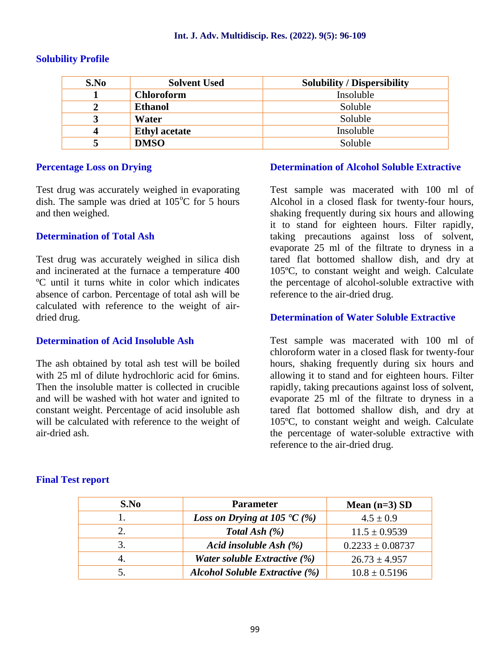# **Solubility Profile**

| S.No | <b>Solvent Used</b>  | <b>Solubility / Dispersibility</b> |
|------|----------------------|------------------------------------|
|      | <b>Chloroform</b>    | Insoluble                          |
| 2    | <b>Ethanol</b>       | Soluble                            |
| 3    | <b>Water</b>         | Soluble                            |
| 4    | <b>Ethyl</b> acetate | Insoluble                          |
| 5    | <b>DMSO</b>          | Soluble                            |

## **Percentage Loss on Drying**

Test drug was accurately weighed in evaporating dish. The sample was dried at  $105^{\circ}$ C for 5 hours and then weighed.

# **Determination of Total Ash**

Test drug was accurately weighed in silica dish and incinerated at the furnace a temperature 400 ºC until it turns white in color which indicates absence of carbon. Percentage of total ash will be calculated with reference to the weight of air dried drug.

## **Determination of Acid Insoluble Ash**

The ash obtained by total ash test will be boiled with 25 ml of dilute hydrochloric acid for 6mins. Then the insoluble matter is collected in crucible and will be washed with hot water and ignited to constant weight. Percentage of acid insoluble ash will be calculated with reference to the weight of air-dried ash.

# **Determination of Alcohol Soluble Extractive**

Test sample was macerated with 100 ml of Alcohol in a closed flask for twenty-four hours, shaking frequently during six hours and allowing it to stand for eighteen hours. Filter rapidly, taking precautions against loss of solvent, evaporate 25 ml of the filtrate to dryness in a tared flat bottomed shallow dish, and dry at 105ºC, to constant weight and weigh. Calculate the percentage of alcohol-soluble extractive with reference to the air-dried drug.

## **Determination of Water Soluble Extractive**

Test sample was macerated with 100 ml of chloroform water in a closed flask for twenty-four hours, shaking frequently during six hours and allowing it to stand and for eighteen hours. Filter rapidly, taking precautions against loss of solvent, evaporate 25 ml of the filtrate to dryness in a tared flat bottomed shallow dish, and dry at 105ºC, to constant weight and weigh. Calculate the percentage of water-soluble extractive with reference to the air-dried drug.

| S.No | <b>Parameter</b>                                  | Mean $(n=3)$ SD      |
|------|---------------------------------------------------|----------------------|
|      | <i>Loss on Drying at 105</i> $\textdegree{C}$ (%) | $4.5 \pm 0.9$        |
| 2.   | Total Ash $(\%)$                                  | $11.5 \pm 0.9539$    |
| 3.   | Acid insoluble Ash $(\%)$                         | $0.2233 \pm 0.08737$ |
| 4.   | Water soluble Extractive (%)                      | $26.73 \pm 4.957$    |
|      | <b>Alcohol Soluble Extractive (%)</b>             | $10.8 \pm 0.5196$    |

## **Final Test report**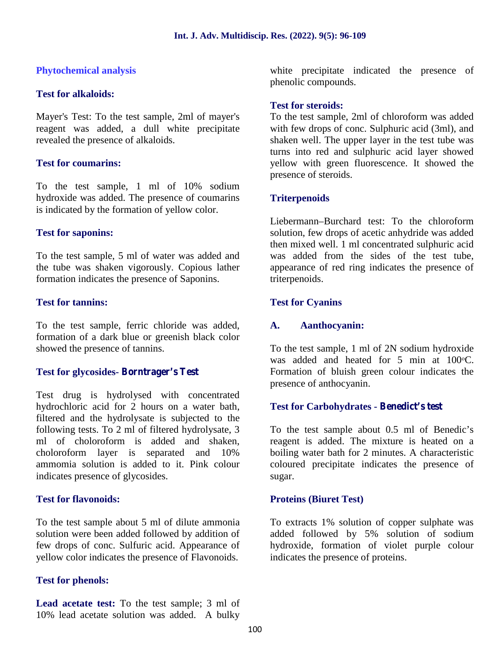## **Phytochemical analysis**

#### **Test for alkaloids:**

Mayer's Test: To the test sample, 2ml of mayer's reagent was added, a dull white precipitate revealed the presence of alkaloids.

## **Test for coumarins:**

To the test sample, 1 ml of 10% sodium hydroxide was added. The presence of coumarins is indicated by the formation of yellow color.

#### **Test for saponins:**

To the test sample, 5 ml of water was added and the tube was shaken vigorously. Copious lather formation indicates the presence of Saponins.

#### **Test for tannins:**

To the test sample, ferric chloride was added, formation of a dark blue or greenish black color showed the presence of tannins.

## **Test for glycosides- Borntrager's Test**

Test drug is hydrolysed with concentrated hydrochloric acid for 2 hours on a water bath, filtered and the hydrolysate is subjected to the following tests. To 2 ml of filtered hydrolysate, 3 ml of choloroform is added and shaken, choloroform layer is separated and 10% ammomia solution is added to it. Pink colour indicates presence of glycosides.

## **Test for flavonoids:**

To the test sample about 5 ml of dilute ammonia solution were been added followed by addition of few drops of conc. Sulfuric acid. Appearance of yellow color indicates the presence of Flavonoids.

## **Test for phenols:**

**Lead acetate test:** To the test sample; 3 ml of 10% lead acetate solution was added. A bulky

white precipitate indicated the presence of phenolic compounds.

#### **Test for steroids:**

To the test sample, 2ml of chloroform was added with few drops of conc. Sulphuric acid (3ml), and shaken well. The upper layer in the test tube was turns into red and sulphuric acid layer showed yellow with green fluorescence. It showed the presence of steroids.

## **Triterpenoids**

Liebermann–Burchard test: To the chloroform solution, few drops of acetic anhydride was added then mixed well. 1 ml concentrated sulphuric acid was added from the sides of the test tube, appearance of red ring indicates the presence of triterpenoids.

#### **Test for Cyanins**

## **A. Aanthocyanin:**

To the test sample, 1 ml of 2N sodium hydroxide was added and heated for 5 min at  $100\textdegree C$ . Formation of bluish green colour indicates the presence of anthocyanin.

## **Test for Carbohydrates - Benedict's test**

To the test sample about 0.5 ml of Benedic's reagent is added. The mixture is heated on a boiling water bath for 2 minutes. A characteristic coloured precipitate indicates the presence of sugar.

#### **Proteins (Biuret Test)**

To extracts 1% solution of copper sulphate was added followed by 5% solution of sodium hydroxide, formation of violet purple colour indicates the presence of proteins.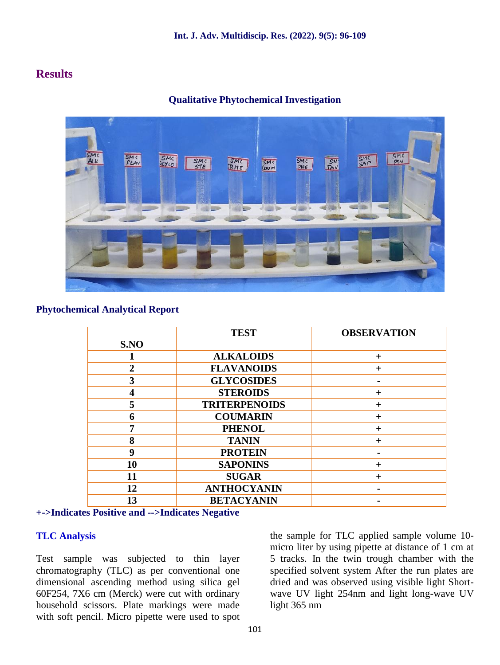# **Results**



**Qualitative Phytochemical Investigation**

### **Phytochemical Analytical Report**

|                | <b>TEST</b>          | <b>OBSERVATION</b> |
|----------------|----------------------|--------------------|
| S.NO           |                      |                    |
|                | <b>ALKALOIDS</b>     | ┿                  |
| $\overline{2}$ | <b>FLAVANOIDS</b>    | $\boldsymbol{+}$   |
| 3              | <b>GLYCOSIDES</b>    |                    |
|                | <b>STEROIDS</b>      | ┿                  |
| 5              | <b>TRITERPENOIDS</b> | ┿                  |
| 6              | <b>COUMARIN</b>      | +                  |
| 7              | <b>PHENOL</b>        | ┿                  |
| 8              | <b>TANIN</b>         | $\div$             |
| 9              | <b>PROTEIN</b>       |                    |
| 10             | <b>SAPONINS</b>      | $\boldsymbol{+}$   |
| 11             | <b>SUGAR</b>         | $\boldsymbol{+}$   |
| 12             | <b>ANTHOCYANIN</b>   |                    |
| 13             | <b>BETACYANIN</b>    |                    |

#### **+->Indicates Positive and -->Indicates Negative**

## **TLC Analysis**

Test sample was subjected to thin layer chromatography (TLC) as per conventional one dimensional ascending method using silica gel 60F254, 7X6 cm (Merck) were cut with ordinary household scissors. Plate markings were made with soft pencil. Micro pipette were used to spot

the sample for TLC applied sample volume 10 micro liter by using pipette at distance of 1 cm at 5 tracks. In the twin trough chamber with the specified solvent system After the run plates are dried and was observed using visible light Short wave UV light 254nm and light long-wave UV light 365 nm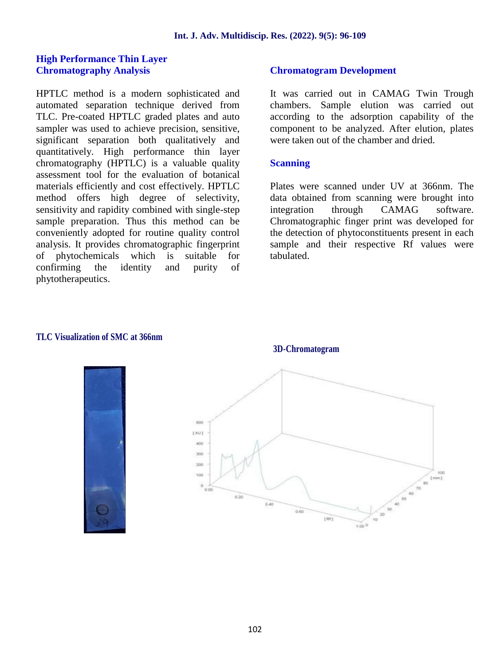#### **High Performance Thin Layer Chromatography Analysis**

HPTLC method is a modern sophisticated and automated separation technique derived from TLC. Pre-coated HPTLC graded plates and auto sampler was used to achieve precision, sensitive, significant separation both qualitatively and quantitatively. High performance thin layer chromatography (HPTLC) is a valuable quality assessment tool for the evaluation of botanical materials efficiently and cost effectively. HPTLC method offers high degree of selectivity, sensitivity and rapidity combined with single-step sample preparation. Thus this method can be conveniently adopted for routine quality control analysis. It provides chromatographic fingerprint of phytochemicals which is suitable for confirming the identity and purity of phytotherapeutics.

### **Chromatogram Development**

It was carried out in CAMAG Twin Trough chambers. Sample elution was carried out according to the adsorption capability of the component to be analyzed. After elution, plates were taken out of the chamber and dried.

#### **Scanning**

Plates were scanned under UV at 366nm. The data obtained from scanning were brought into integration through CAMAG software. Chromatographic finger print was developed for the detection of phytoconstituents present in each sample and their respective Rf values were tabulated.

#### **TLC Visualization of SMC at 366nm**



#### **3D-Chromatogram**

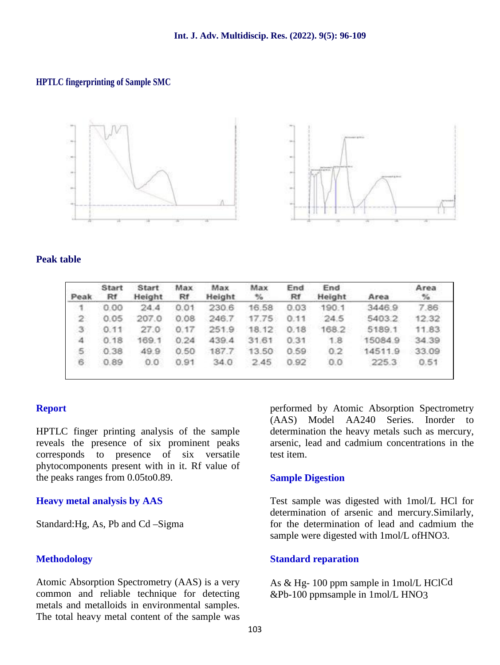#### **HPTLC fingerprinting of Sample SMC**



#### **Peak table**

| Peak           | Start<br>Rf | <b>Start</b><br>Height | Max<br>Rf | Max.<br>Height | Max<br>$\mathbb{V}_2$ | End<br>Rf | End<br>Height | Area    | Area<br>$\%$ |
|----------------|-------------|------------------------|-----------|----------------|-----------------------|-----------|---------------|---------|--------------|
| -1             | 0.00        | 24.4                   | 0.01      | 230.6          | 16.58                 | 0.03      | -190.1        | 3446.9  | 7.86         |
| $\,2\,$        | 0.05        | 207.0                  | 0.08      | 246.7          | 17.75                 | 0.11      | 24.5          | 5403.2  | 12:32        |
| 3              | 0.11        | 27.0                   | 0.17      | 251.9          | 18.12                 | 0.18      | 168.2         | 5189.1  | 11.83        |
| $\overline{4}$ | 0.18        | 169.1                  | 0.24      | 439.4          | 31.61                 | 0.31      | 1.8           | 15084.9 | 34.39        |
| 5.             | 0.38        | 49.9                   | 0.50      | 187.7          | 13.50                 | 0.59      | 0.2           | 14511.9 | 33.09        |
| 6.             | 0.89        | 0.0                    | 0.91      | 34.0           | 2.45                  | 0.92      | 0,0           | 225.3   | 0.51         |
|                |             |                        |           |                |                       |           |               |         |              |

#### **Report**

HPTLC finger printing analysis of the sample reveals the presence of six prominent peaks corresponds to presence of six versatile phytocomponents present with in it. Rf value of the peaks ranges from 0.05to0.89.

#### **Heavy metal analysis by AAS**

Standard:Hg, As, Pb and Cd –Sigma

#### **Methodology**

Atomic Absorption Spectrometry (AAS) is a very common and reliable technique for detecting metals and metalloids in environmental samples. The total heavy metal content of the sample was performed by Atomic Absorption Spectrometry (AAS) Model AA240 Series. Inorder to determination the heavy metals such as mercury, arsenic, lead and cadmium concentrations in the test item.

#### **Sample Digestion**

Test sample was digested with 1mol/L HCl for determination of arsenic and mercury.Similarly, for the determination of lead and cadmium the sample were digested with 1mol/L ofHNO3.

#### **Standard reparation**

As & Hg- 100 ppm sample in 1mol/L HClCd &Pb-100 ppmsample in 1mol/L HNO3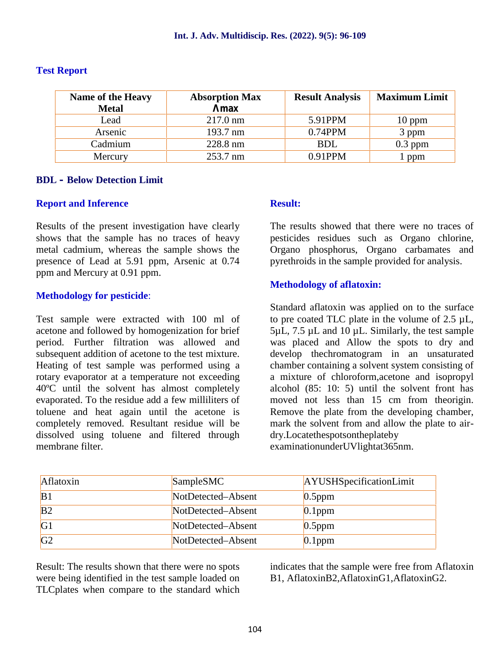| <b>Name of the Heavy</b> | <b>Absorption Max</b> | <b>Result Analysis</b> | <b>Maximum Limit</b> |
|--------------------------|-----------------------|------------------------|----------------------|
| <b>Metal</b>             | max                   |                        |                      |
| Lead                     | $217.0 \text{ nm}$    | 5.91PPM                | $10$ ppm             |
| Arsenic                  | 193.7 nm              | $0.74$ PPM             | 3 ppm                |
| Cadmium                  | 228.8 nm              | <b>BDL</b>             | $0.3$ ppm            |
| Mercury                  | 253.7 nm              | 0.91PPM                | 1 ppm                |

#### **Test Report**

#### **BDL – Below Detection Limit**

#### **Report and Inference**

Results of the present investigation have clearly shows that the sample has no traces of heavy metal cadmium, whereas the sample shows the presence of Lead at 5.91 ppm, Arsenic at 0.74 ppm and Mercury at 0.91 ppm.

#### **Methodology for pesticide**:

Test sample were extracted with 100 ml of acetone and followed by homogenization for brief period. Further filtration was allowed and subsequent addition of acetone to the test mixture. Heating of test sample was performed using a rotary evaporator at a temperature not exceeding 40ºC until the solvent has almost completely evaporated. To the residue add a few milliliters of toluene and heat again until the acetone is completely removed. Resultant residue will be dissolved using toluene and filtered through membrane filter.

## **Result:**

The results showed that there were no traces of pesticides residues such as Organo chlorine, Organo phosphorus, Organo carbamates and pyrethroids in the sample provided for analysis.

#### **Methodology of aflatoxin:**

Standard aflatoxin was applied on to the surface to pre coated TLC plate in the volume of  $2.5 \mu L$ ,  $5\mu$ L, 7.5  $\mu$ L and 10  $\mu$ L. Similarly, the test sample was placed and Allow the spots to dry and develop thechromatogram in an unsaturated chamber containing a solvent system consisting of a mixture of chloroform,acetone and isopropyl alcohol (85: 10: 5) until the solvent front has moved not less than 15 cm from theorigin. Remove the plate from the developing chamber, mark the solvent from and allow the plate to air dry.Locatethespotsontheplateby

examinationunderUVlightat365nm.

| Aflatoxin      | SampleSMC          | AYUSHSpecificationLimit |
|----------------|--------------------|-------------------------|
| B <sub>1</sub> | NotDetected-Absent | $0.5$ ppm               |
| B <sub>2</sub> | NotDetected-Absent | $0.1$ ppm               |
| G <sub>1</sub> | NotDetected-Absent | $0.5$ ppm               |
| G <sub>2</sub> | NotDetected-Absent | $0.1$ ppm               |

Result: The results shown that there were no spots were being identified in the test sample loaded on TLCplates when compare to the standard which indicates that the sample were free from Aflatoxin B1, AflatoxinB2,AflatoxinG1,AflatoxinG2.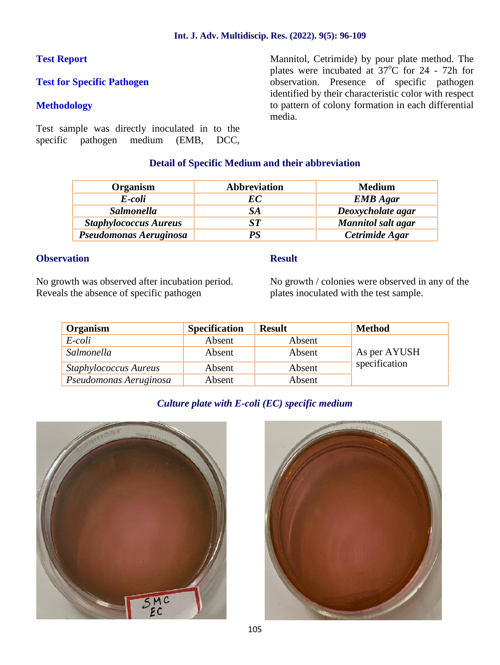# **Test Report**

# **Test for Specific Pathogen**

## **Methodology**

Test sample was directly inoculated in to the specific pathogen medium (EMB, DCC, Mannitol, Cetrimide) by pour plate method. The plates were incubated at  $37^{\circ}$ C for 24 - 72h for observation. Presence of specific pathogen identified by their characteristic color with respect to pattern of colony formation in each differential media.

## **Detail of Specific Medium and their abbreviation**

| <b>Organism</b>              | <b>Abbreviation</b> | <b>Medium</b>             |
|------------------------------|---------------------|---------------------------|
| E-coli                       | EС                  | <b>EMB</b> Agar           |
| <b>Salmonella</b>            | SA                  | Deoxycholate agar         |
| <b>Staphylococcus Aureus</b> | ST                  | <b>Mannitol</b> salt agar |
| Pseudomonas Aeruginosa       | PS                  | Cetrimide Agar            |

### **Observation**

No growth was observed after incubation period. Reveals the absence of specific pathogen

#### **Result**

No growth / colonies were observed in any of the plates inoculated with the test sample.

| Organism                     | <b>Specification</b> | <b>Result</b> | <b>Method</b> |
|------------------------------|----------------------|---------------|---------------|
| E-coli                       | Absent               | Absent        |               |
| Salmonella                   | Absent               | Absent        | As per AYUSH  |
| <b>Staphylococcus Aureus</b> | Absent               | Absent        | specification |
| Pseudomonas Aeruginosa       | Absent               | Absent        |               |

# *Culture plate with E-coli (EC) specific medium*



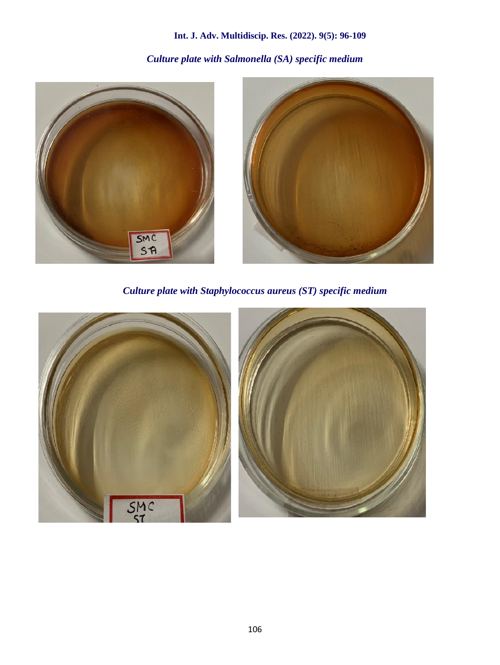# **Int. J. Adv. Multidiscip. Res. (2022). 9(5): 96-109**

# *Culture plate with Salmonella (SA) specific medium*



*Culture plate with Staphylococcus aureus (ST) specific medium*

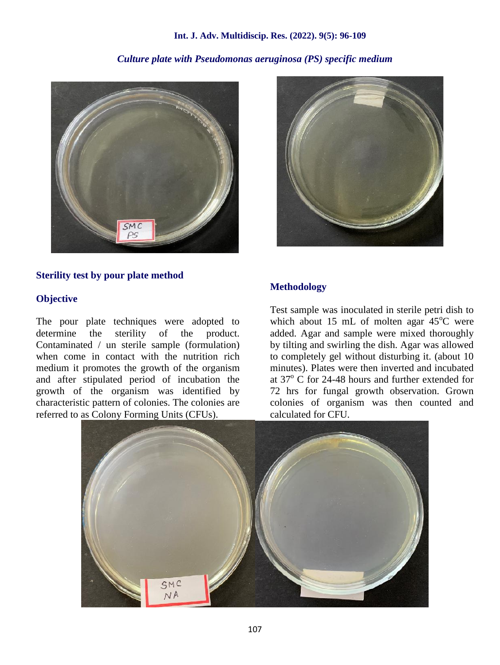#### **Int. J. Adv. Multidiscip. Res. (2022). 9(5): 96-109**

# *Culture plate with Pseudomonas aeruginosa (PS) specific medium*



#### **Sterility test by pour plate method**

#### **Objective**

The pour plate techniques were adopted to determine the sterility of the product. Contaminated / un sterile sample (formulation) when come in contact with the nutrition rich medium it promotes the growth of the organism and after stipulated period of incubation the growth of the organism was identified by characteristic pattern of colonies. The colonies are referred to as Colony Forming Units (CFUs).



## **Methodology**

Test sample was inoculated in sterile petri dish to which about 15 mL of molten agar  $45^{\circ}$ C were added. Agar and sample were mixed thoroughly by tilting and swirling the dish. Agar was allowed to completely gel without disturbing it. (about 10 minutes). Plates were then inverted and incubated at  $37^{\circ}$  C for 24-48 hours and further extended for 72 hrs for fungal growth observation. Grown colonies of organism was then counted and calculated for CFU.

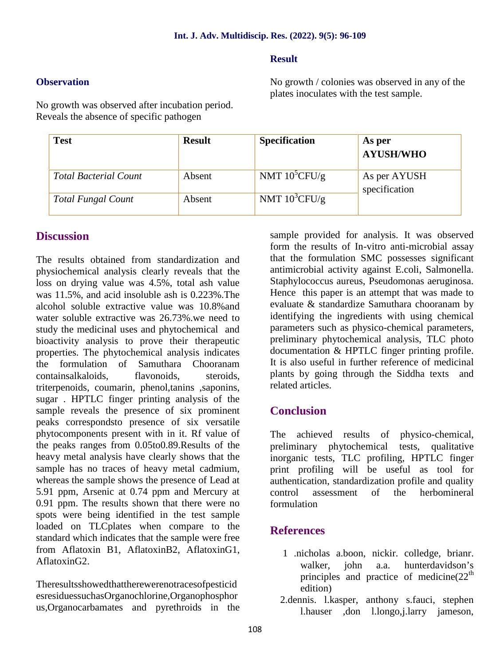# **Result**

# **Observation**

No growth / colonies was observed in any of the plates inoculates with the test sample.

No growth was observed after incubation period. Reveals the absence of specific pathogen

| <b>Test</b>                  | <b>Result</b> | <b>Specification</b> | As per<br><b>AYUSH/WHO</b>    |
|------------------------------|---------------|----------------------|-------------------------------|
| <b>Total Bacterial Count</b> | Absent        | NMT $10^5$ CFU/g     | As per AYUSH<br>specification |
| <b>Total Fungal Count</b>    | Absent        | NMT $10^3$ CFU/g     |                               |

# **Discussion**

The results obtained from standardization and physiochemical analysis clearly reveals that the loss on drying value was 4.5%, total ash value was 11.5%, and acid insoluble ash is 0.223%.The alcohol soluble extractive value was 10.8%and water soluble extractive was 26.73%.we need to study the medicinal uses and phytochemical and bioactivity analysis to prove their therapeutic properties. The phytochemical analysis indicates the formulation of Samuthara Chooranam containsalkaloids, flavonoids, steroids, triterpenoids, coumarin, phenol,tanins ,saponins, sugar . HPTLC finger printing analysis of the sample reveals the presence of six prominent peaks correspondsto presence of six versatile phytocomponents present with in it. Rf value of the peaks ranges from 0.05to0.89.Results of the heavy metal analysis have clearly shows that the sample has no traces of heavy metal cadmium, whereas the sample shows the presence of Lead at 5.91 ppm, Arsenic at 0.74 ppm and Mercury at 0.91 ppm. The results shown that there were no spots were being identified in the test sample loaded on TLCplates when compare to the standard which indicates that the sample were free from Aflatoxin B1, AflatoxinB2, AflatoxinG1, AflatoxinG2.

Theresultsshowedthattherewerenotracesofpesticid esresiduessuchasOrganochlorine,Organophosphor us,Organocarbamates and pyrethroids in the sample provided for analysis. It was observed form the results of In-vitro anti-microbial assay that the formulation SMC possesses significant antimicrobial activity against E.coli, Salmonella. Staphylococcus aureus, Pseudomonas aeruginosa. Hence this paper is an attempt that was made to evaluate & standardize Samuthara chooranam by identifying the ingredients with using chemical parameters such as physico-chemical parameters, preliminary phytochemical analysis, TLC photo documentation & HPTLC finger printing profile. It is also useful in further reference of medicinal plants by going through the Siddha texts and related articles.

# **Conclusion**

The achieved results of physico-chemical, preliminary phytochemical tests, qualitative inorganic tests, TLC profiling, HPTLC finger print profiling will be useful as tool for authentication, standardization profile and quality control assessment of the herbomineral formulation

# **References**

- 1 .nicholas a.boon, nickir. colledge, brianr. walker, john a.a. hunterdavidson's principles and practice of medicine $(22<sup>th</sup>$ edition)
- 2.dennis. l.kasper, anthony s.fauci, stephen l.hauser ,don l.longo,j.larry jameson,